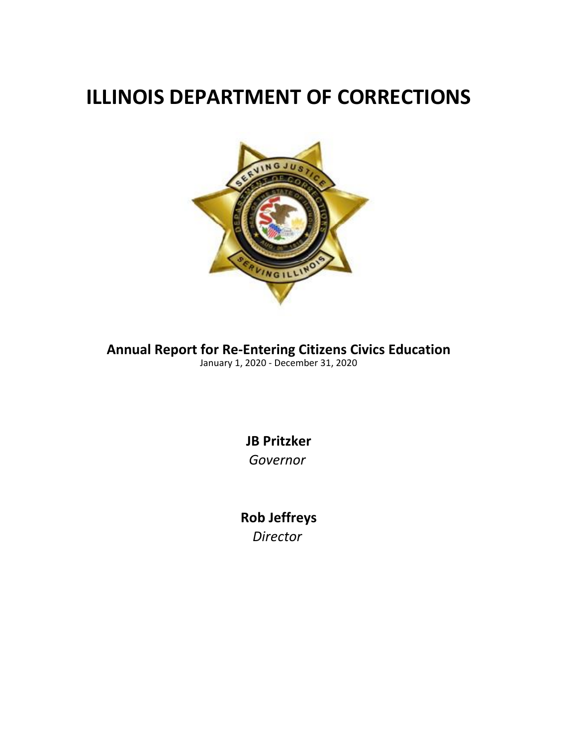## **ILLINOIS DEPARTMENT OF CORRECTIONS**



**Annual Report for Re-Entering Citizens Civics Education** January 1, 2020 - December 31, 2020

> **JB Pritzker** *Governor*

**Rob Jeffreys** *Director*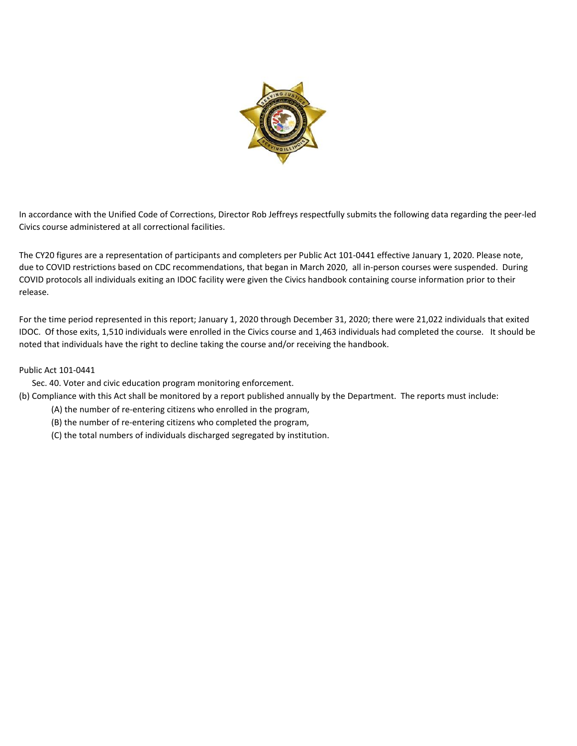

In accordance with the Unified Code of Corrections, Director Rob Jeffreys respectfully submits the following data regarding the peer-led Civics course administered at all correctional facilities.

The CY20 figures are a representation of participants and completers per Public Act 101-0441 effective January 1, 2020. Please note, due to COVID restrictions based on CDC recommendations, that began in March 2020, all in-person courses were suspended. During COVID protocols all individuals exiting an IDOC facility were given the Civics handbook containing course information prior to their release.

For the time period represented in this report; January 1, 2020 through December 31, 2020; there were 21,022 individuals that exited IDOC. Of those exits, 1,510 individuals were enrolled in the Civics course and 1,463 individuals had completed the course. It should be noted that individuals have the right to decline taking the course and/or receiving the handbook.

## Public Act 101-0441

- Sec. 40. Voter and civic education program monitoring enforcement.
- (b) Compliance with this Act shall be monitored by a report published annually by the Department. The reports must include:
	- (A) the number of re-entering citizens who enrolled in the program,
	- (B) the number of re-entering citizens who completed the program,
	- (C) the total numbers of individuals discharged segregated by institution.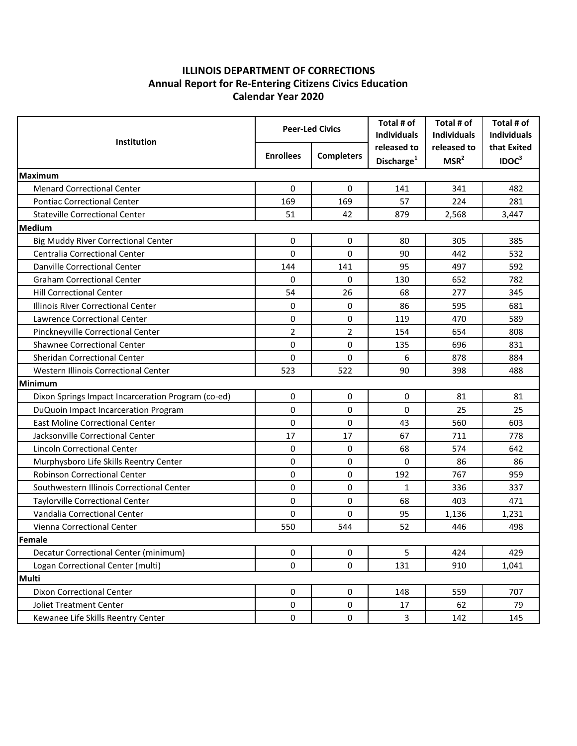## **Calendar Year 2020 ILLINOIS DEPARTMENT OF CORRECTIONS Annual Report for Re-Entering Citizens Civics Education**

| Institution                                        | <b>Peer-Led Civics</b> |                   | Total # of<br><b>Individuals</b>      | Total # of<br><b>Individuals</b> | Total # of<br><b>Individuals</b> |  |  |  |  |
|----------------------------------------------------|------------------------|-------------------|---------------------------------------|----------------------------------|----------------------------------|--|--|--|--|
|                                                    | <b>Enrollees</b>       | <b>Completers</b> | released to<br>Discharge <sup>1</sup> | released to<br>MSR <sup>2</sup>  | that Exited<br>IDOC <sup>3</sup> |  |  |  |  |
| <b>Maximum</b>                                     |                        |                   |                                       |                                  |                                  |  |  |  |  |
| <b>Menard Correctional Center</b>                  | 0                      | 0                 | 141                                   | 341                              | 482                              |  |  |  |  |
| <b>Pontiac Correctional Center</b>                 | 169                    | 169               | 57                                    | 224                              | 281                              |  |  |  |  |
| <b>Stateville Correctional Center</b>              | 51                     | 42                | 879                                   | 2,568                            | 3,447                            |  |  |  |  |
| <b>Medium</b>                                      |                        |                   |                                       |                                  |                                  |  |  |  |  |
| <b>Big Muddy River Correctional Center</b>         | 0                      | 0                 | 80                                    | 305                              | 385                              |  |  |  |  |
| Centralia Correctional Center                      | 0                      | 0                 | 90                                    | 442                              | 532                              |  |  |  |  |
| Danville Correctional Center                       | 144                    | 141               | 95                                    | 497                              | 592                              |  |  |  |  |
| <b>Graham Correctional Center</b>                  | 0                      | $\Omega$          | 130                                   | 652                              | 782                              |  |  |  |  |
| <b>Hill Correctional Center</b>                    | 54                     | 26                | 68                                    | 277                              | 345                              |  |  |  |  |
| Illinois River Correctional Center                 | 0                      | 0                 | 86                                    | 595                              | 681                              |  |  |  |  |
| <b>Lawrence Correctional Center</b>                | 0                      | 0                 | 119                                   | 470                              | 589                              |  |  |  |  |
| Pinckneyville Correctional Center                  | $\overline{2}$         | $\overline{2}$    | 154                                   | 654                              | 808                              |  |  |  |  |
| Shawnee Correctional Center                        | 0                      | 0                 | 135                                   | 696                              | 831                              |  |  |  |  |
| Sheridan Correctional Center                       | 0                      | 0                 | 6                                     | 878                              | 884                              |  |  |  |  |
| Western Illinois Correctional Center               | 523                    | 522               | 90                                    | 398                              | 488                              |  |  |  |  |
| Minimum                                            |                        |                   |                                       |                                  |                                  |  |  |  |  |
| Dixon Springs Impact Incarceration Program (co-ed) | 0                      | 0                 | 0                                     | 81                               | 81                               |  |  |  |  |
| DuQuoin Impact Incarceration Program               | 0                      | 0                 | 0                                     | 25                               | 25                               |  |  |  |  |
| <b>East Moline Correctional Center</b>             | 0                      | 0                 | 43                                    | 560                              | 603                              |  |  |  |  |
| Jacksonville Correctional Center                   | 17                     | 17                | 67                                    | 711                              | 778                              |  |  |  |  |
| <b>Lincoln Correctional Center</b>                 | 0                      | 0                 | 68                                    | 574                              | 642                              |  |  |  |  |
| Murphysboro Life Skills Reentry Center             | 0                      | 0                 | 0                                     | 86                               | 86                               |  |  |  |  |
| Robinson Correctional Center                       | 0                      | 0                 | 192                                   | 767                              | 959                              |  |  |  |  |
| Southwestern Illinois Correctional Center          | 0                      | 0                 | 1                                     | 336                              | 337                              |  |  |  |  |
| Taylorville Correctional Center                    | 0                      | 0                 | 68                                    | 403                              | 471                              |  |  |  |  |
| Vandalia Correctional Center                       | 0                      | 0                 | 95                                    | 1,136                            | 1,231                            |  |  |  |  |
| Vienna Correctional Center                         | 550                    | 544               | 52                                    | 446                              | 498                              |  |  |  |  |
| Female                                             |                        |                   |                                       |                                  |                                  |  |  |  |  |
| Decatur Correctional Center (minimum)              | 0                      | 0                 | 5                                     | 424                              | 429                              |  |  |  |  |
| Logan Correctional Center (multi)                  | 0                      | 0                 | 131                                   | 910                              | 1,041                            |  |  |  |  |
| <b>Multi</b>                                       |                        |                   |                                       |                                  |                                  |  |  |  |  |
| Dixon Correctional Center                          | 0                      | 0                 | 148                                   | 559                              | 707                              |  |  |  |  |
| <b>Joliet Treatment Center</b>                     | 0                      | 0                 | 17                                    | 62                               | 79                               |  |  |  |  |
| Kewanee Life Skills Reentry Center                 | $\pmb{0}$              | 0                 | 3                                     | 142                              | 145                              |  |  |  |  |